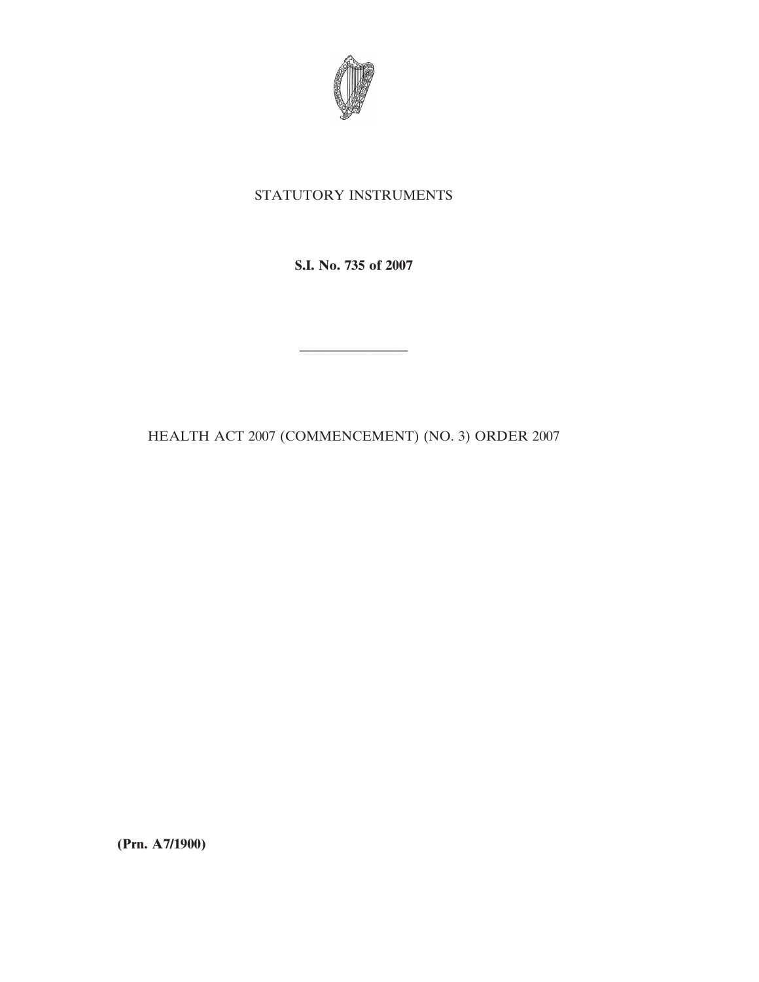

## STATUTORY INSTRUMENTS

**S.I. No. 735 of 2007**

————————

HEALTH ACT 2007 (COMMENCEMENT) (NO. 3) ORDER 2007

**(Prn. A7/1900)**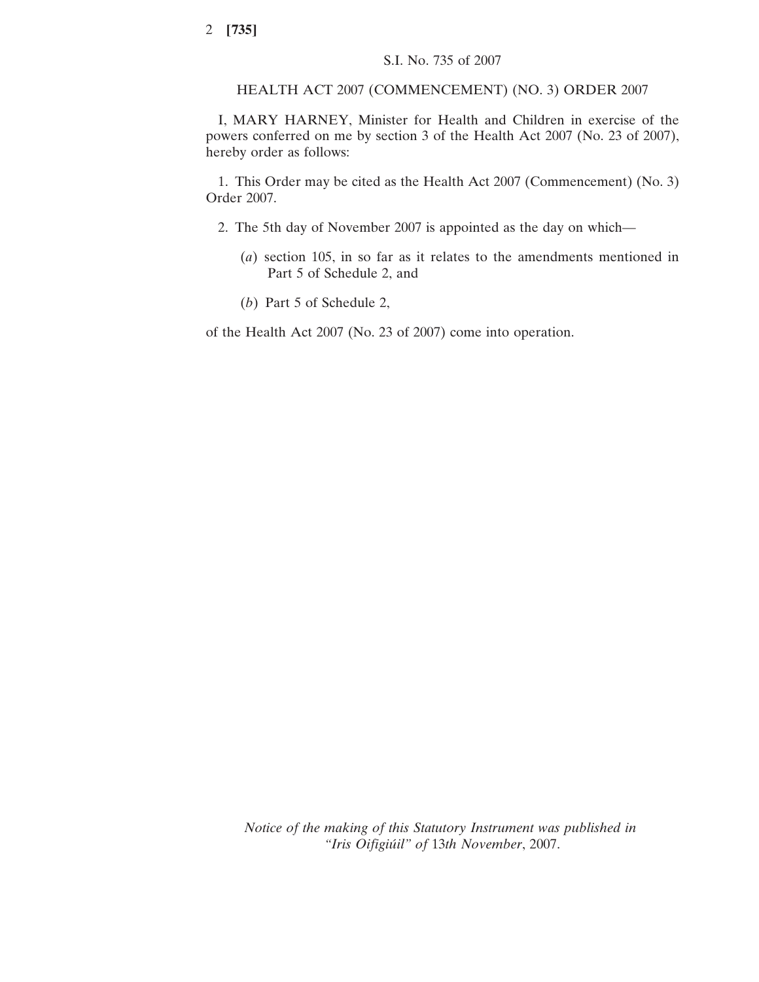## HEALTH ACT 2007 (COMMENCEMENT) (NO. 3) ORDER 2007

I, MARY HARNEY, Minister for Health and Children in exercise of the powers conferred on me by section 3 of the Health Act 2007 (No. 23 of 2007), hereby order as follows:

1. This Order may be cited as the Health Act 2007 (Commencement) (No. 3) Order 2007.

- 2. The 5th day of November 2007 is appointed as the day on which—
	- (*a*) section 105, in so far as it relates to the amendments mentioned in Part 5 of Schedule 2, and
	- (*b*) Part 5 of Schedule 2,

of the Health Act 2007 (No. 23 of 2007) come into operation.

*Notice of the making of this Statutory Instrument was published in "Iris Oifigiu´il" of* 13*th November*, 2007.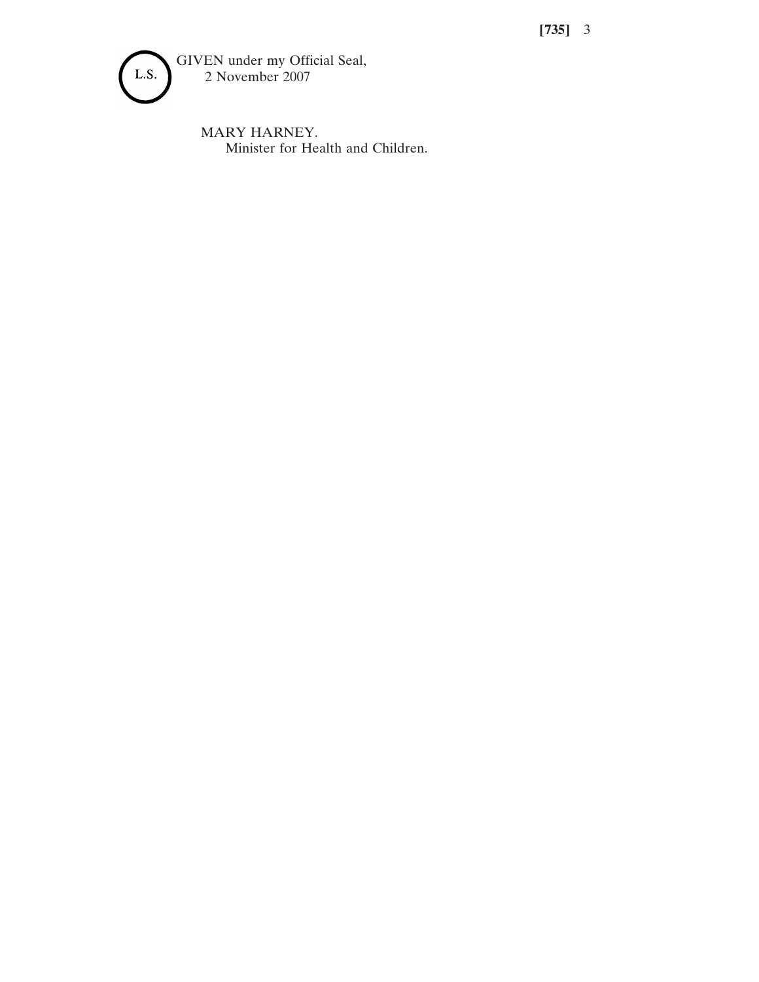**[735]** 3



MARY HARNEY. Minister for Health and Children.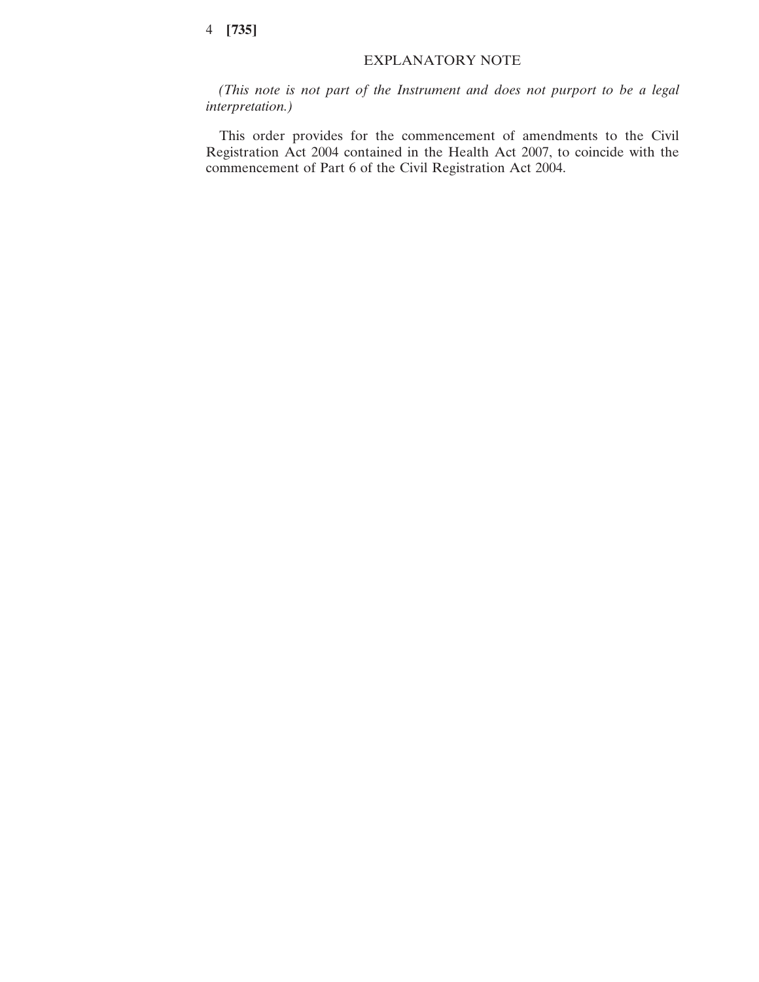## EXPLANATORY NOTE

*(This note is not part of the Instrument and does not purport to be a legal interpretation.)*

This order provides for the commencement of amendments to the Civil Registration Act 2004 contained in the Health Act 2007, to coincide with the commencement of Part 6 of the Civil Registration Act 2004.